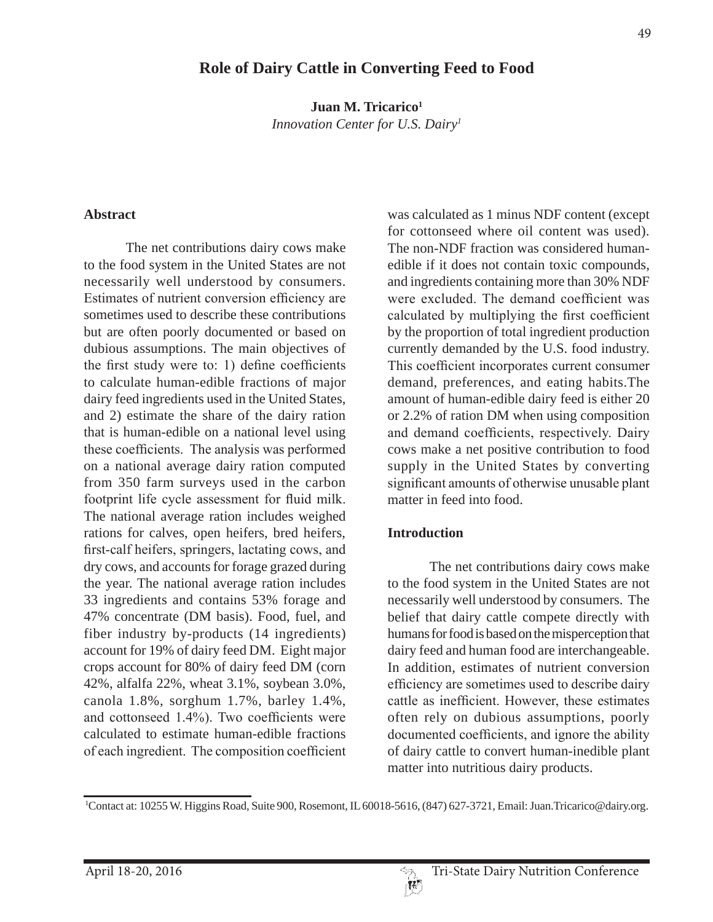## **Role of Dairy Cattle in Converting Feed to Food**

Juan M. Tricarico<sup>1</sup> *Innovation Center for U.S. Dairy1*

#### **Abstract**

The net contributions dairy cows make to the food system in the United States are not necessarily well understood by consumers. Estimates of nutrient conversion efficiency are sometimes used to describe these contributions but are often poorly documented or based on dubious assumptions. The main objectives of the first study were to: 1) define coefficients to calculate human-edible fractions of major dairy feed ingredients used in the United States, and 2) estimate the share of the dairy ration that is human-edible on a national level using these coefficients. The analysis was performed on a national average dairy ration computed from 350 farm surveys used in the carbon footprint life cycle assessment for fluid milk. The national average ration includes weighed rations for calves, open heifers, bred heifers, first-calf heifers, springers, lactating cows, and dry cows, and accounts for forage grazed during the year. The national average ration includes 33 ingredients and contains 53% forage and 47% concentrate (DM basis). Food, fuel, and fiber industry by-products (14 ingredients) account for 19% of dairy feed DM. Eight major crops account for 80% of dairy feed DM (corn 42%, alfalfa 22%, wheat 3.1%, soybean 3.0%, canola 1.8%, sorghum 1.7%, barley 1.4%, and cottonseed  $1.4\%$ ). Two coefficients were calculated to estimate human-edible fractions of each ingredient. The composition coefficient was calculated as 1 minus NDF content (except for cottonseed where oil content was used). The non-NDF fraction was considered humanedible if it does not contain toxic compounds, and ingredients containing more than 30% NDF were excluded. The demand coefficient was calculated by multiplying the first coefficient by the proportion of total ingredient production currently demanded by the U.S. food industry. This coefficient incorporates current consumer demand, preferences, and eating habits.The amount of human-edible dairy feed is either 20 or 2.2% of ration DM when using composition and demand coefficients, respectively. Dairy cows make a net positive contribution to food supply in the United States by converting significant amounts of otherwise unusable plant matter in feed into food.

#### **Introduction**

The net contributions dairy cows make to the food system in the United States are not necessarily well understood by consumers. The belief that dairy cattle compete directly with humans for food is based on the misperception that dairy feed and human food are interchangeable. In addition, estimates of nutrient conversion efficiency are sometimes used to describe dairy cattle as inefficient. However, these estimates often rely on dubious assumptions, poorly documented coefficients, and ignore the ability of dairy cattle to convert human-inedible plant matter into nutritious dairy products.

<sup>1</sup> Contact at: 10255 W. Higgins Road, Suite 900, Rosemont, IL 60018-5616, (847) 627-3721, Email: Juan.Tricarico@dairy.org.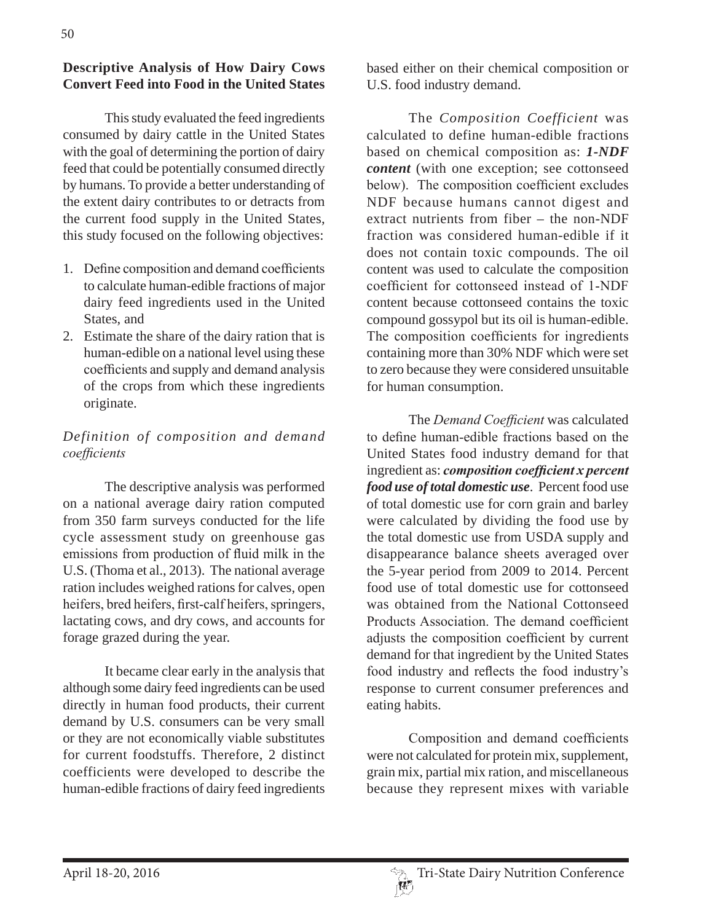## **Descriptive Analysis of How Dairy Cows Convert Feed into Food in the United States**

This study evaluated the feed ingredients consumed by dairy cattle in the United States with the goal of determining the portion of dairy feed that could be potentially consumed directly by humans. To provide a better understanding of the extent dairy contributes to or detracts from the current food supply in the United States, this study focused on the following objectives:

- 1. Define composition and demand coefficients to calculate human-edible fractions of major dairy feed ingredients used in the United States, and
- 2. Estimate the share of the dairy ration that is human-edible on a national level using these coefficients and supply and demand analysis of the crops from which these ingredients originate.

# *Definition of composition and demand*   $coefficients$

The descriptive analysis was performed on a national average dairy ration computed from 350 farm surveys conducted for the life cycle assessment study on greenhouse gas emissions from production of fluid milk in the U.S. (Thoma et al., 2013). The national average ration includes weighed rations for calves, open heifers, bred heifers, first-calf heifers, springers, lactating cows, and dry cows, and accounts for forage grazed during the year.

It became clear early in the analysis that although some dairy feed ingredients can be used directly in human food products, their current demand by U.S. consumers can be very small or they are not economically viable substitutes for current foodstuffs. Therefore, 2 distinct coefficients were developed to describe the human-edible fractions of dairy feed ingredients

based either on their chemical composition or U.S. food industry demand.

The *Composition Coefficient* was calculated to define human-edible fractions based on chemical composition as: *1-NDF content* (with one exception; see cottonseed below). The composition coefficient excludes NDF because humans cannot digest and extract nutrients from fiber – the non-NDF fraction was considered human-edible if it does not contain toxic compounds. The oil content was used to calculate the composition coefficient for cottonseed instead of 1-NDF content because cottonseed contains the toxic compound gossypol but its oil is human-edible. The composition coefficients for ingredients containing more than 30% NDF which were set to zero because they were considered unsuitable for human consumption.

The *Demand Coefficient* was calculated to define human-edible fractions based on the United States food industry demand for that ingredient as: *composition coefficient x percent food use of total domestic use*. Percent food use of total domestic use for corn grain and barley were calculated by dividing the food use by the total domestic use from USDA supply and disappearance balance sheets averaged over the 5-year period from 2009 to 2014. Percent food use of total domestic use for cottonseed was obtained from the National Cottonseed Products Association. The demand coefficient adjusts the composition coefficient by current demand for that ingredient by the United States food industry and reflects the food industry's response to current consumer preferences and eating habits.

Composition and demand coefficients were not calculated for protein mix, supplement, grain mix, partial mix ration, and miscellaneous because they represent mixes with variable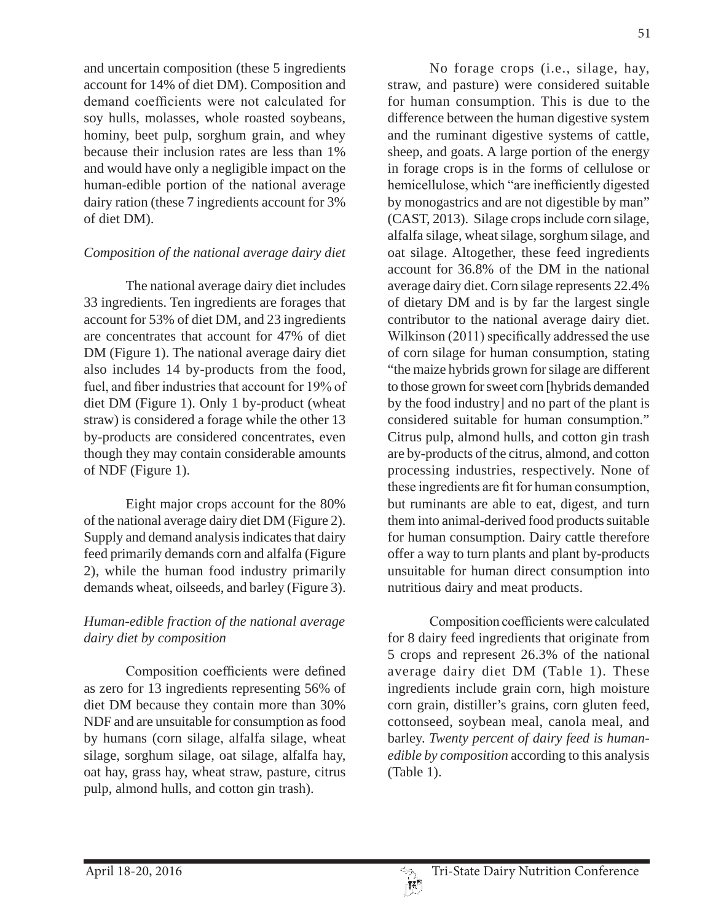and uncertain composition (these 5 ingredients account for 14% of diet DM). Composition and demand coefficients were not calculated for soy hulls, molasses, whole roasted soybeans, hominy, beet pulp, sorghum grain, and whey because their inclusion rates are less than 1% and would have only a negligible impact on the human-edible portion of the national average dairy ration (these 7 ingredients account for 3% of diet DM).

#### *Composition of the national average dairy diet*

The national average dairy diet includes 33 ingredients. Ten ingredients are forages that account for 53% of diet DM, and 23 ingredients are concentrates that account for 47% of diet DM (Figure 1). The national average dairy diet also includes 14 by-products from the food, fuel, and fiber industries that account for 19% of diet DM (Figure 1). Only 1 by-product (wheat straw) is considered a forage while the other 13 by-products are considered concentrates, even though they may contain considerable amounts of NDF (Figure 1).

Eight major crops account for the 80% of the national average dairy diet DM (Figure 2). Supply and demand analysis indicates that dairy feed primarily demands corn and alfalfa (Figure 2), while the human food industry primarily demands wheat, oilseeds, and barley (Figure 3).

## *Human-edible fraction of the national average dairy diet by composition*

Composition coefficients were defined as zero for 13 ingredients representing 56% of diet DM because they contain more than 30% NDF and are unsuitable for consumption as food by humans (corn silage, alfalfa silage, wheat silage, sorghum silage, oat silage, alfalfa hay, oat hay, grass hay, wheat straw, pasture, citrus pulp, almond hulls, and cotton gin trash).

51

No forage crops (i.e., silage, hay, straw, and pasture) were considered suitable for human consumption. This is due to the difference between the human digestive system and the ruminant digestive systems of cattle, sheep, and goats. A large portion of the energy in forage crops is in the forms of cellulose or hemicellulose, which "are inefficiently digested by monogastrics and are not digestible by man" (CAST, 2013). Silage crops include corn silage, alfalfa silage, wheat silage, sorghum silage, and oat silage. Altogether, these feed ingredients account for 36.8% of the DM in the national average dairy diet. Corn silage represents 22.4% of dietary DM and is by far the largest single contributor to the national average dairy diet. Wilkinson (2011) specifically addressed the use of corn silage for human consumption, stating "the maize hybrids grown for silage are different to those grown for sweet corn [hybrids demanded by the food industry] and no part of the plant is considered suitable for human consumption." Citrus pulp, almond hulls, and cotton gin trash are by-products of the citrus, almond, and cotton processing industries, respectively. None of these ingredients are fit for human consumption, but ruminants are able to eat, digest, and turn them into animal-derived food products suitable for human consumption. Dairy cattle therefore offer a way to turn plants and plant by-products unsuitable for human direct consumption into nutritious dairy and meat products.

Composition coefficients were calculated for 8 dairy feed ingredients that originate from 5 crops and represent 26.3% of the national average dairy diet DM (Table 1). These ingredients include grain corn, high moisture corn grain, distiller's grains, corn gluten feed, cottonseed, soybean meal, canola meal, and barley. *Twenty percent of dairy feed is humanedible by composition* according to this analysis (Table 1).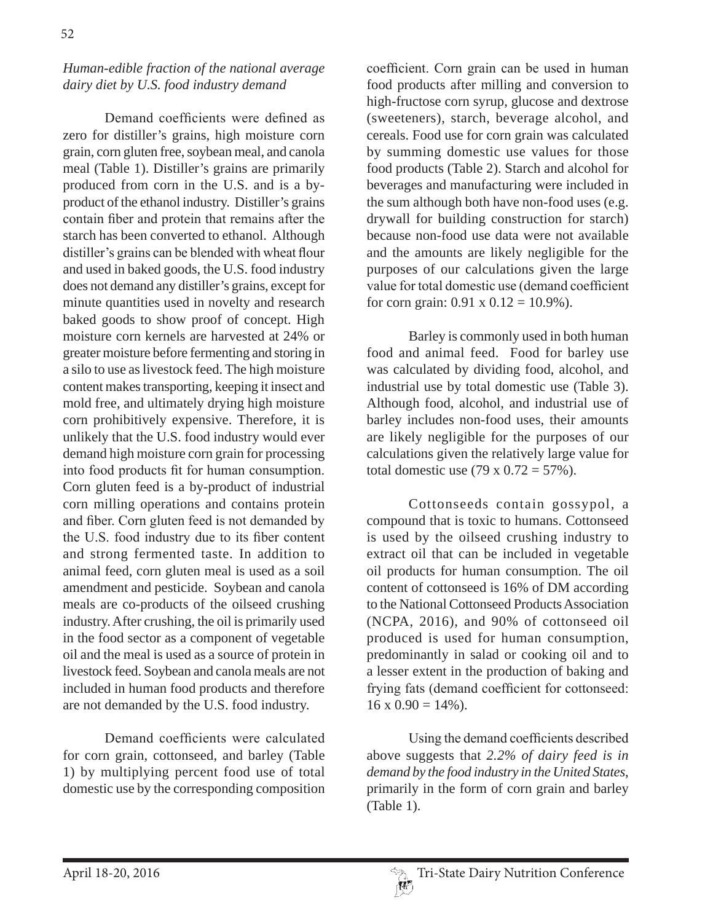## *Human-edible fraction of the national average dairy diet by U.S. food industry demand*

Demand coefficients were defined as zero for distiller's grains, high moisture corn grain, corn gluten free, soybean meal, and canola meal (Table 1). Distiller's grains are primarily produced from corn in the U.S. and is a byproduct of the ethanol industry. Distiller's grains contain fiber and protein that remains after the starch has been converted to ethanol. Although distiller's grains can be blended with wheat flour and used in baked goods, the U.S. food industry does not demand any distiller's grains, except for minute quantities used in novelty and research baked goods to show proof of concept. High moisture corn kernels are harvested at 24% or greater moisture before fermenting and storing in a silo to use as livestock feed. The high moisture content makes transporting, keeping it insect and mold free, and ultimately drying high moisture corn prohibitively expensive. Therefore, it is unlikely that the U.S. food industry would ever demand high moisture corn grain for processing into food products fit for human consumption. Corn gluten feed is a by-product of industrial corn milling operations and contains protein and fiber. Corn gluten feed is not demanded by the U.S. food industry due to its fiber content and strong fermented taste. In addition to animal feed, corn gluten meal is used as a soil amendment and pesticide. Soybean and canola meals are co-products of the oilseed crushing industry. After crushing, the oil is primarily used in the food sector as a component of vegetable oil and the meal is used as a source of protein in livestock feed. Soybean and canola meals are not included in human food products and therefore are not demanded by the U.S. food industry.

Demand coefficients were calculated for corn grain, cottonseed, and barley (Table 1) by multiplying percent food use of total domestic use by the corresponding composition coefficient. Corn grain can be used in human food products after milling and conversion to high-fructose corn syrup, glucose and dextrose (sweeteners), starch, beverage alcohol, and cereals. Food use for corn grain was calculated by summing domestic use values for those food products (Table 2). Starch and alcohol for beverages and manufacturing were included in the sum although both have non-food uses (e.g. drywall for building construction for starch) because non-food use data were not available and the amounts are likely negligible for the purposes of our calculations given the large value for total domestic use (demand coefficient for corn grain:  $0.91 \times 0.12 = 10.9\%$ ).

Barley is commonly used in both human food and animal feed. Food for barley use was calculated by dividing food, alcohol, and industrial use by total domestic use (Table 3). Although food, alcohol, and industrial use of barley includes non-food uses, their amounts are likely negligible for the purposes of our calculations given the relatively large value for total domestic use  $(79 \times 0.72 = 57\%)$ .

Cottonseeds contain gossypol, a compound that is toxic to humans. Cottonseed is used by the oilseed crushing industry to extract oil that can be included in vegetable oil products for human consumption. The oil content of cottonseed is 16% of DM according to the National Cottonseed Products Association (NCPA, 2016), and 90% of cottonseed oil produced is used for human consumption, predominantly in salad or cooking oil and to a lesser extent in the production of baking and frying fats (demand coefficient for cottonseed:  $16 \times 0.90 = 14\%$ ).

Using the demand coefficients described above suggests that *2.2% of dairy feed is in demand by the food industry in the United States*, primarily in the form of corn grain and barley (Table 1).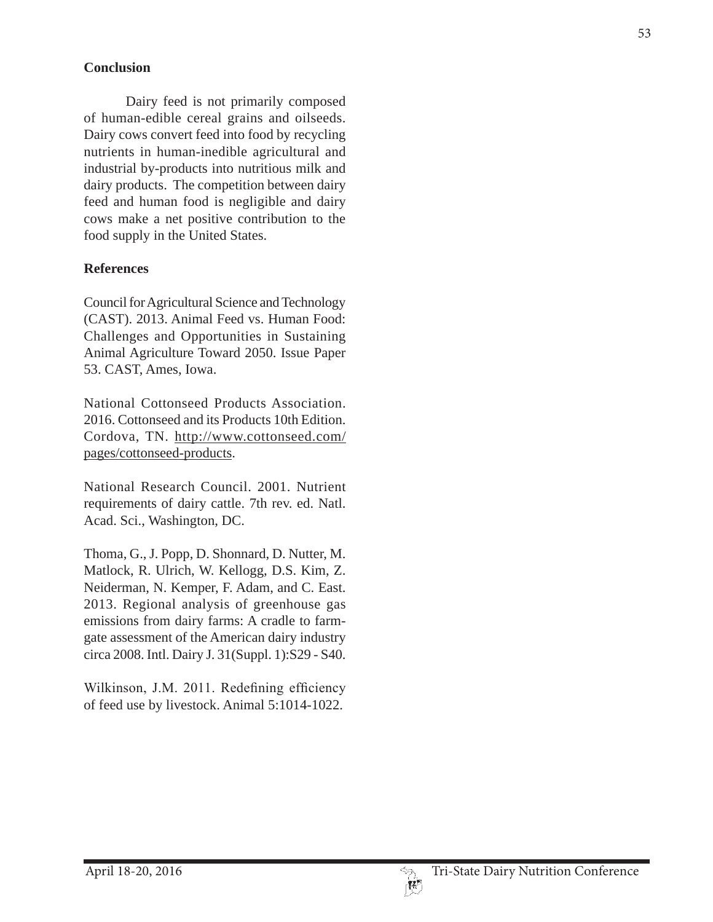#### **Conclusion**

Dairy feed is not primarily composed of human-edible cereal grains and oilseeds. Dairy cows convert feed into food by recycling nutrients in human-inedible agricultural and industrial by-products into nutritious milk and dairy products. The competition between dairy feed and human food is negligible and dairy cows make a net positive contribution to the food supply in the United States.

#### **References**

Council for Agricultural Science and Technology (CAST). 2013. Animal Feed vs. Human Food: Challenges and Opportunities in Sustaining Animal Agriculture Toward 2050. Issue Paper 53. CAST, Ames, Iowa.

National Cottonseed Products Association. 2016. Cottonseed and its Products 10th Edition. Cordova, TN. http://www.cottonseed.com/ pages/cottonseed-products.

National Research Council. 2001. Nutrient requirements of dairy cattle. 7th rev. ed. Natl. Acad. Sci., Washington, DC.

Thoma, G., J. Popp, D. Shonnard, D. Nutter, M. Matlock, R. Ulrich, W. Kellogg, D.S. Kim, Z. Neiderman, N. Kemper, F. Adam, and C. East. 2013. Regional analysis of greenhouse gas emissions from dairy farms: A cradle to farmgate assessment of the American dairy industry circa 2008. Intl. Dairy J. 31(Suppl. 1):S29 - S40.

Wilkinson, J.M. 2011. Redefining efficiency of feed use by livestock. Animal 5:1014-1022.

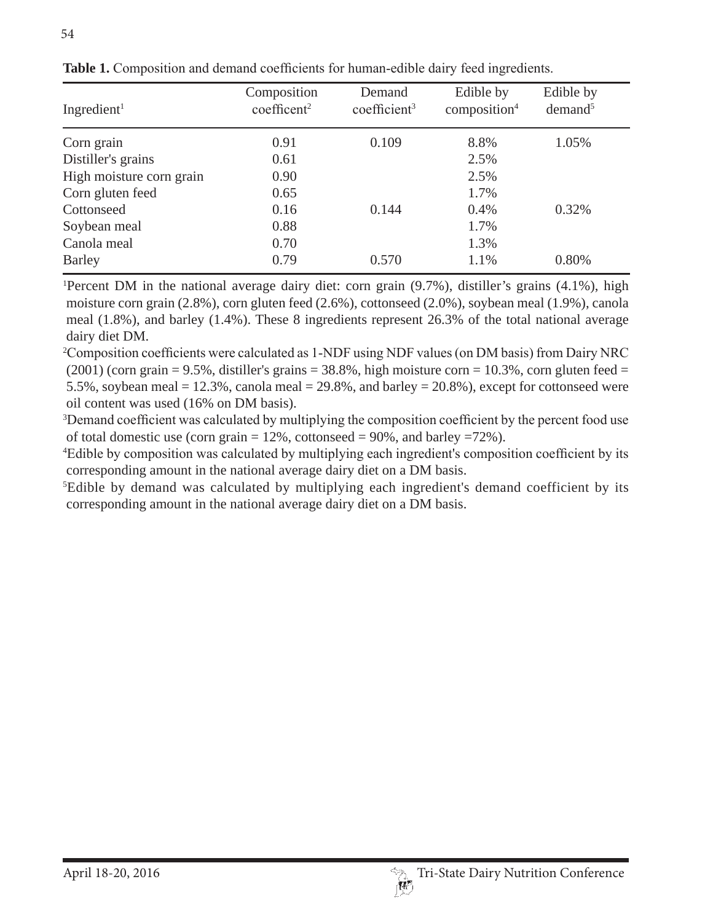| Ingredient <sup>1</sup>  | Composition<br>coefficent <sup>2</sup> | Demand<br>coefficient <sup>3</sup> | Edible by<br>composition <sup>4</sup> | Edible by<br>demand <sup>5</sup> |
|--------------------------|----------------------------------------|------------------------------------|---------------------------------------|----------------------------------|
| Corn grain               | 0.91                                   | 0.109                              | 8.8%                                  | 1.05%                            |
| Distiller's grains       | 0.61                                   |                                    | 2.5%                                  |                                  |
| High moisture corn grain | 0.90                                   |                                    | 2.5%                                  |                                  |
| Corn gluten feed         | 0.65                                   |                                    | 1.7%                                  |                                  |
| Cottonseed               | 0.16                                   | 0.144                              | $0.4\%$                               | 0.32%                            |
| Soybean meal             | 0.88                                   |                                    | 1.7%                                  |                                  |
| Canola meal              | 0.70                                   |                                    | 1.3%                                  |                                  |
| <b>Barley</b>            | 0.79                                   | 0.570                              | 1.1%                                  | 0.80%                            |

**Table 1.** Composition and demand coefficients for human-edible dairy feed ingredients.

Percent DM in the national average dairy diet: corn grain (9.7%), distiller's grains (4.1%), high moisture corn grain (2.8%), corn gluten feed (2.6%), cottonseed (2.0%), soybean meal (1.9%), canola meal (1.8%), and barley (1.4%). These 8 ingredients represent 26.3% of the total national average dairy diet DM.

<sup>2</sup>Composition coefficients were calculated as 1-NDF using NDF values (on DM basis) from Dairy NRC  $(2001)$  (corn grain = 9.5%, distiller's grains = 38.8%, high moisture corn = 10.3%, corn gluten feed = 5.5%, soybean meal =  $12.3\%$ , canola meal =  $29.8\%$ , and barley =  $20.8\%$ ), except for cottonseed were oil content was used (16% on DM basis).

 $3$ Demand coefficient was calculated by multiplying the composition coefficient by the percent food use of total domestic use (corn grain  $= 12\%$ , cottonseed  $= 90\%$ , and barley  $= 72\%$ ).

<sup>4</sup>Edible by composition was calculated by multiplying each ingredient's composition coefficient by its corresponding amount in the national average dairy diet on a DM basis.

5 Edible by demand was calculated by multiplying each ingredient's demand coefficient by its corresponding amount in the national average dairy diet on a DM basis.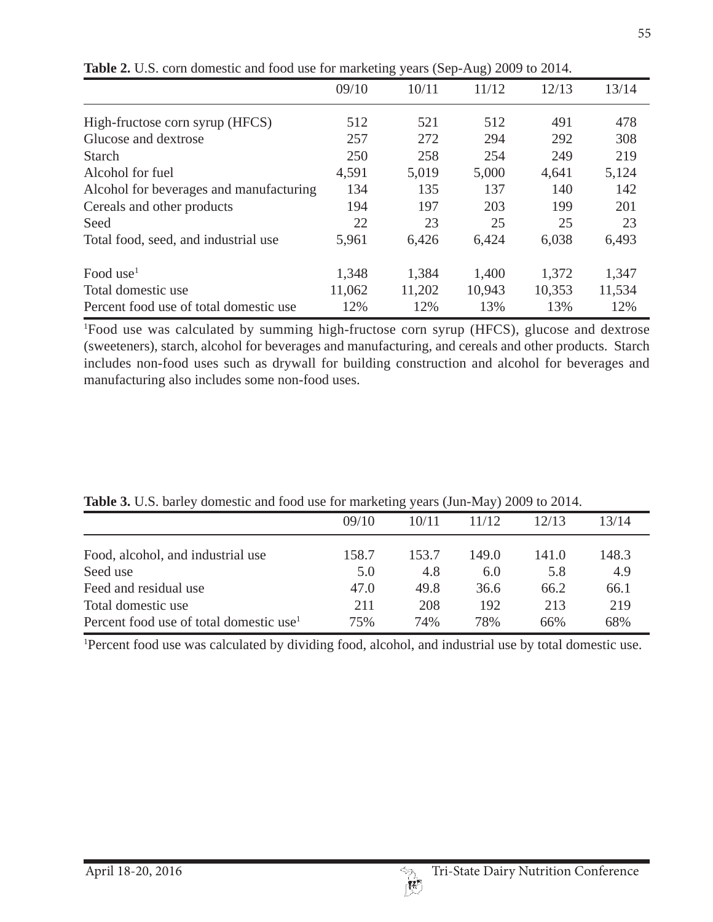|                                         | 09/10  | 10/11  | 11/12  | 12/13  | 13/14  |
|-----------------------------------------|--------|--------|--------|--------|--------|
| High-fructose corn syrup (HFCS)         | 512    | 521    | 512    | 491    | 478    |
| Glucose and dextrose                    | 257    | 272    | 294    | 292    | 308    |
| <b>Starch</b>                           | 250    | 258    | 254    | 249    | 219    |
| Alcohol for fuel                        | 4,591  | 5,019  | 5,000  | 4,641  | 5,124  |
| Alcohol for beverages and manufacturing | 134    | 135    | 137    | 140    | 142    |
| Cereals and other products              | 194    | 197    | 203    | 199    | 201    |
| Seed                                    | 22     | 23     | 25     | 25     | 23     |
| Total food, seed, and industrial use    | 5,961  | 6,426  | 6,424  | 6,038  | 6,493  |
| Food use <sup>1</sup>                   | 1,348  | 1,384  | 1,400  | 1,372  | 1,347  |
| Total domestic use                      | 11,062 | 11,202 | 10,943 | 10,353 | 11,534 |
| Percent food use of total domestic use  | 12%    | 12%    | 13%    | 13%    | 12%    |

**Table 2.** U.S. corn domestic and food use for marketing years (Sep-Aug) 2009 to 2014.

1 Food use was calculated by summing high-fructose corn syrup (HFCS), glucose and dextrose (sweeteners), starch, alcohol for beverages and manufacturing, and cereals and other products. Starch includes non-food uses such as drywall for building construction and alcohol for beverages and manufacturing also includes some non-food uses.

|                                                     | 09/10 | 10/11 | 11/12 | 12/13 | 13/14 |
|-----------------------------------------------------|-------|-------|-------|-------|-------|
| Food, alcohol, and industrial use                   | 158.7 | 153.7 | 149.0 | 141.0 | 148.3 |
| Seed use                                            | 5.0   | 4.8   | 6.0   | 5.8   | 4.9   |
| Feed and residual use                               | 47.0  | 49.8  | 36.6  | 66.2  | 66.1  |
| Total domestic use                                  | 211   | 208   | 192   | 213   | 219   |
| Percent food use of total domestic use <sup>1</sup> | 75%   | 74%   | 78%   | 66%   | 68%   |

**Table 3.** U.S. barley domestic and food use for marketing years (Jun-May) 2009 to 2014.

1 Percent food use was calculated by dividing food, alcohol, and industrial use by total domestic use.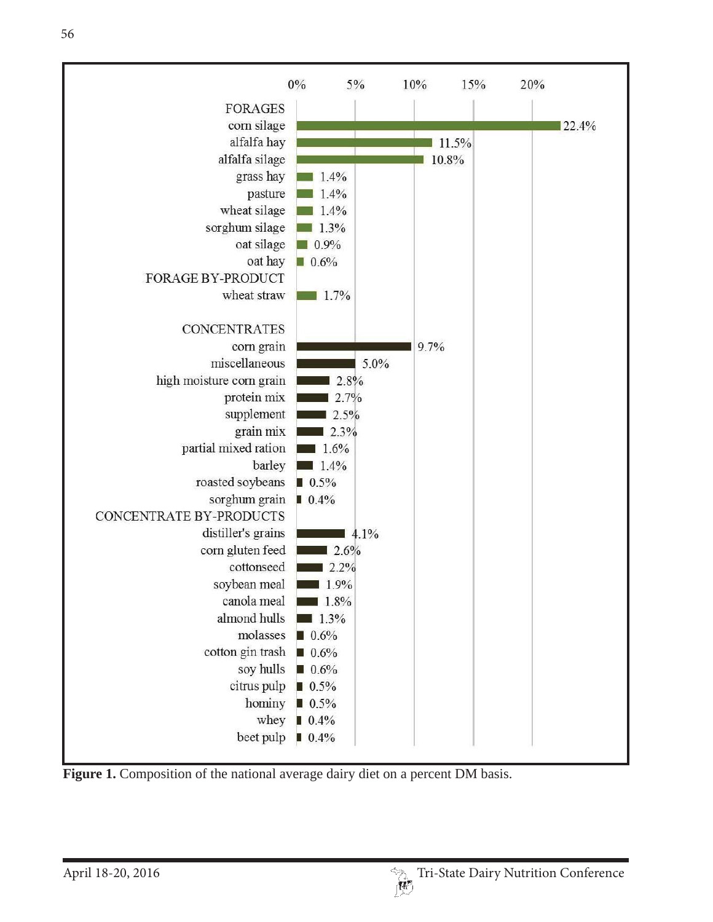

Figure 1. Composition of the national average dairy diet on a percent DM basis.